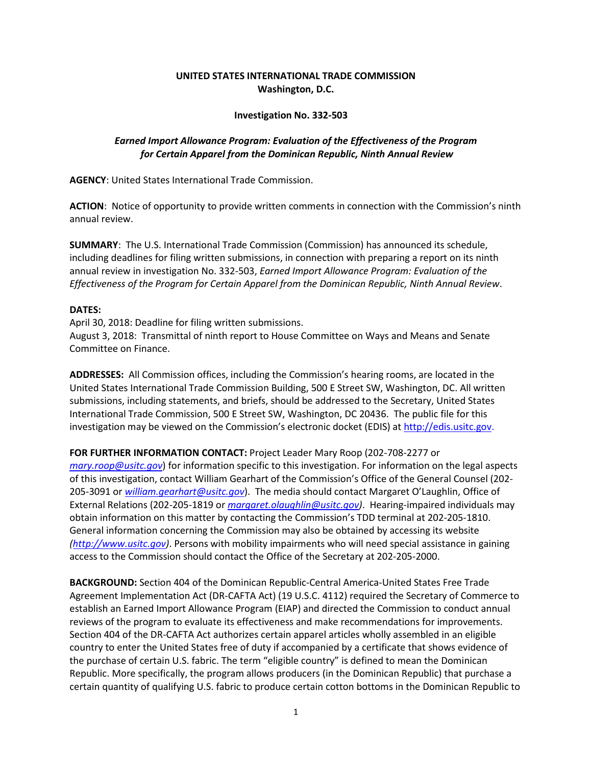## **UNITED STATES INTERNATIONAL TRADE COMMISSION Washington, D.C.**

## **Investigation No. 332-503**

## *Earned Import Allowance Program: Evaluation of the Effectiveness of the Program for Certain Apparel from the Dominican Republic, Ninth Annual Review*

**AGENCY**: United States International Trade Commission.

**ACTION**: Notice of opportunity to provide written comments in connection with the Commission's ninth annual review.

**SUMMARY**: The U.S. International Trade Commission (Commission) has announced its schedule, including deadlines for filing written submissions, in connection with preparing a report on its ninth annual review in investigation No. 332-503, *Earned Import Allowance Program: Evaluation of the Effectiveness of the Program for Certain Apparel from the Dominican Republic, Ninth Annual Review*.

## **DATES:**

April 30, 2018: Deadline for filing written submissions. August 3, 2018: Transmittal of ninth report to House Committee on Ways and Means and Senate Committee on Finance.

**ADDRESSES:** All Commission offices, including the Commission's hearing rooms, are located in the United States International Trade Commission Building, 500 E Street SW, Washington, DC. All written submissions, including statements, and briefs, should be addressed to the Secretary, United States International Trade Commission, 500 E Street SW, Washington, DC 20436. The public file for this investigation may be viewed on the Commission's electronic docket (EDIS) at http://edis.usitc.gov.

**FOR FURTHER INFORMATION CONTACT:** Project Leader Mary Roop (202-708-2277 or *[mary.roop@usitc.gov](mailto:mary.roop@usitc.gov)*) for information specific to this investigation. For information on the legal aspects of this investigation, contact William Gearhart of the Commission's Office of the General Counsel (202- 205-3091 or *[william.gearhart@usitc.gov](mailto:william.gearhart@usitc.gov)*). The media should contact Margaret O'Laughlin, Office of External Relations (202-205-1819 or *[margaret.olaughlin@usitc.gov\)](mailto:margaret.olaughlin@usitc.gov)*. Hearing-impaired individuals may obtain information on this matter by contacting the Commission's TDD terminal at 202-205-1810. General information concerning the Commission may also be obtained by accessing its website *[\(http://www.usitc.gov\)](http://www.usitc.gov/)*. Persons with mobility impairments who will need special assistance in gaining access to the Commission should contact the Office of the Secretary at 202-205-2000.

**BACKGROUND:** Section 404 of the Dominican Republic-Central America-United States Free Trade Agreement Implementation Act (DR-CAFTA Act) (19 U.S.C. 4112) required the Secretary of Commerce to establish an Earned Import Allowance Program (EIAP) and directed the Commission to conduct annual reviews of the program to evaluate its effectiveness and make recommendations for improvements. Section 404 of the DR-CAFTA Act authorizes certain apparel articles wholly assembled in an eligible country to enter the United States free of duty if accompanied by a certificate that shows evidence of the purchase of certain U.S. fabric. The term "eligible country" is defined to mean the Dominican Republic. More specifically, the program allows producers (in the Dominican Republic) that purchase a certain quantity of qualifying U.S. fabric to produce certain cotton bottoms in the Dominican Republic to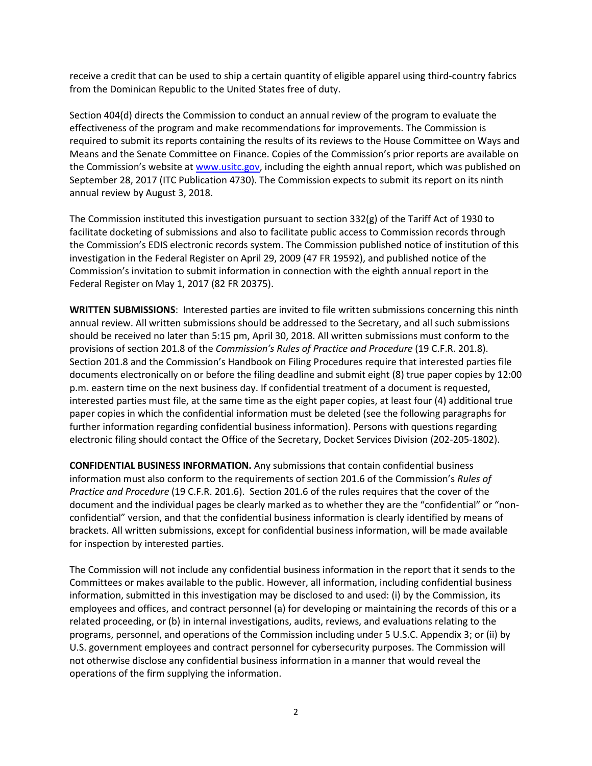receive a credit that can be used to ship a certain quantity of eligible apparel using third-country fabrics from the Dominican Republic to the United States free of duty.

Section 404(d) directs the Commission to conduct an annual review of the program to evaluate the effectiveness of the program and make recommendations for improvements. The Commission is required to submit its reports containing the results of its reviews to the House Committee on Ways and Means and the Senate Committee on Finance. Copies of the Commission's prior reports are available on the Commission's website at [www.usitc.gov,](http://www.usitc.gov/) including the eighth annual report, which was published on September 28, 2017 (ITC Publication 4730). The Commission expects to submit its report on its ninth annual review by August 3, 2018.

The Commission instituted this investigation pursuant to section 332(g) of the Tariff Act of 1930 to facilitate docketing of submissions and also to facilitate public access to Commission records through the Commission's EDIS electronic records system. The Commission published notice of institution of this investigation in the Federal Register on April 29, 2009 (47 FR 19592), and published notice of the Commission's invitation to submit information in connection with the eighth annual report in the Federal Register on May 1, 2017 (82 FR 20375).

**WRITTEN SUBMISSIONS**: Interested parties are invited to file written submissions concerning this ninth annual review. All written submissions should be addressed to the Secretary, and all such submissions should be received no later than 5:15 pm, April 30, 2018. All written submissions must conform to the provisions of section 201.8 of the *Commission's Rules of Practice and Procedure* (19 C.F.R. 201.8). Section 201.8 and the Commission's Handbook on Filing Procedures require that interested parties file documents electronically on or before the filing deadline and submit eight (8) true paper copies by 12:00 p.m. eastern time on the next business day. If confidential treatment of a document is requested, interested parties must file, at the same time as the eight paper copies, at least four (4) additional true paper copies in which the confidential information must be deleted (see the following paragraphs for further information regarding confidential business information). Persons with questions regarding electronic filing should contact the Office of the Secretary, Docket Services Division (202-205-1802).

**CONFIDENTIAL BUSINESS INFORMATION.** Any submissions that contain confidential business information must also conform to the requirements of section 201.6 of the Commission's *Rules of Practice and Procedure* (19 C.F.R. 201.6). Section 201.6 of the rules requires that the cover of the document and the individual pages be clearly marked as to whether they are the "confidential" or "nonconfidential" version, and that the confidential business information is clearly identified by means of brackets. All written submissions, except for confidential business information, will be made available for inspection by interested parties.

The Commission will not include any confidential business information in the report that it sends to the Committees or makes available to the public. However, all information, including confidential business information, submitted in this investigation may be disclosed to and used: (i) by the Commission, its employees and offices, and contract personnel (a) for developing or maintaining the records of this or a related proceeding, or (b) in internal investigations, audits, reviews, and evaluations relating to the programs, personnel, and operations of the Commission including under 5 U.S.C. Appendix 3; or (ii) by U.S. government employees and contract personnel for cybersecurity purposes. The Commission will not otherwise disclose any confidential business information in a manner that would reveal the operations of the firm supplying the information.